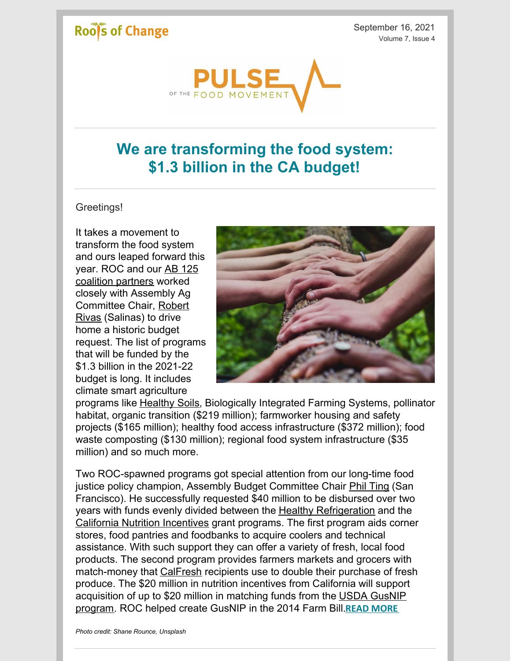# Roof's of Change

September 16, 2021 Volume 7, Issue 4



# **We are transforming the food system: \$1.3 billion in the CA budget!**

#### Greetings!

It takes a movement to transform the food system and ours leaped forward this year. ROC and our AB 125 coalition [partners](https://www.voteforyourfood.org/) worked closely with Assembly Ag [Committee](https://a30.asmdc.org/) Chair, Robert Rivas (Salinas) to drive home a historic budget request. The list of programs that will be funded by the \$1.3 billion in the 2021-22 budget is long. It includes climate smart agriculture



programs like [Healthy](https://www.cdfa.ca.gov/oefi/healthysoils/) Soils, Biologically Integrated Farming Systems, pollinator habitat, organic transition (\$219 million); farmworker housing and safety projects (\$165 million); healthy food access infrastructure (\$372 million); food waste composting (\$130 million); regional food system infrastructure (\$35 million) and so much more.

Two ROC-spawned programs got special attention from our long-time food justice policy champion, Assembly Budget Committee Chair Phil [Ting](https://a19.asmdc.org/) (San Francisco). He successfully requested \$40 million to be disbursed over two years with funds evenly divided between the Healthy [Refrigeration](https://cafarmtofork.cdfa.ca.gov/hsrgp.html) and the California Nutrition [Incentives](https://cafarmtofork.cdfa.ca.gov/cnip.html) grant programs. The first program aids corner stores, food pantries and foodbanks to acquire coolers and technical assistance. With such support they can offer a variety of fresh, local food products. The second program provides farmers markets and grocers with match-money that [CalFresh](https://www.cdss.ca.gov/calfresh) recipients use to double their purchase of fresh produce. The \$20 million in nutrition incentives from California will support [acquisition](https://nifa.usda.gov/program/gus-schumacher-nutrition-incentive-grant-program) of up to \$20 million in matching funds from the USDA GusNIP program. ROC helped create GusNIP in the 2014 Farm Bill.**READ [MORE](https://www.rootsofchange.org/blog/we-are-transforming-the-food-system-1-3-billion-in-the-ca-budget/#foodhubs)**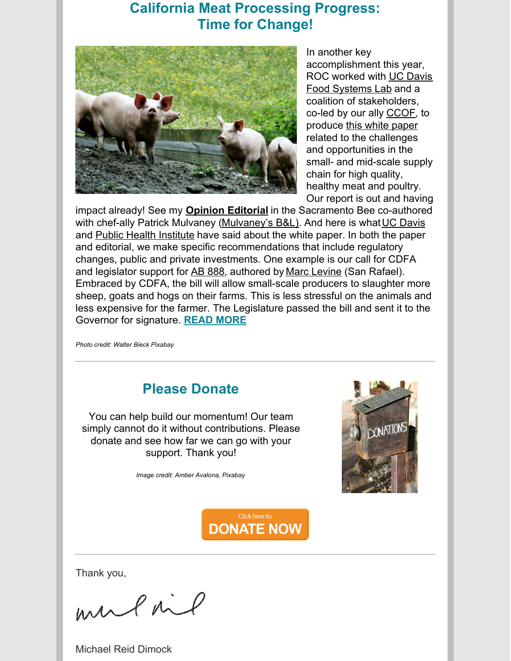### **California Meat Processing Progress: Time for Change!**



In another key accomplishment this year, ROC worked with UC Davis Food [Systems](https://foodsystemslab.ucdavis.edu/) Lab and a coalition of stakeholders, co-led by our ally [CCOF](https://www.ccof.org/), to produce this white [paper](https://www.rootsofchange.org/wp-content/uploads/2021-Sept-FSLMeatProcessing_FINAL-compressed.pdf) related to the challenges and opportunities in the small- and mid-scale supply chain for high quality, healthy meat and poultry. Our report is out and having

impact already! See my **Opinion [Editorial](http://bit.ly/2XplJbT)** in the Sacramento Bee co-authored with chef-ally Patrick Mulvaney [\(Mulvaney's](https://mulvaneysbl.com/) B&L). And here is what UC [Davis](https://www.ucdavis.edu/food/news/californias-local-meat-suppliers-struggle-stay-business?utm_source=datelinehtml&utm_medium=datelinenewsletter&utm_campaign=dateline_20210914) and Public Health [Institute](https://www.phi.org/press/california-needs-policy-reform-innovation-to-enhance-meat-production-capacity/) have said about the white paper. In both the paper and editorial, we make specific recommendations that include regulatory changes, public and private investments. One example is our call for CDFA and legislator support for AB [888](https://leginfo.legislature.ca.gov/faces/billNavClient.xhtml?bill_id=202120220AB888), authored by Marc [Levine](https://a10.asmdc.org/) (San Rafael). Embraced by CDFA, the bill will allow small-scale producers to slaughter more sheep, goats and hogs on their farms. This is less stressful on the animals and less expensive for the farmer. The Legislature passed the bill and sent it to the Governor for signature. **READ [MORE](https://www.rootsofchange.org/blog/california-meat-processing-progress-time-for-change/#recommendations)**

*Photo credit: Walter Bieck Pixabay*

# **Please Donate**

You can help build our momentum! Our team simply cannot do it without contributions. Please donate and see how far we can go with your support. Thank you!

*Image credit: Amber Avalona, Pixabay*



Click here to **DONATE NOW** 

Thank you,

mulail

Michael Reid Dimock